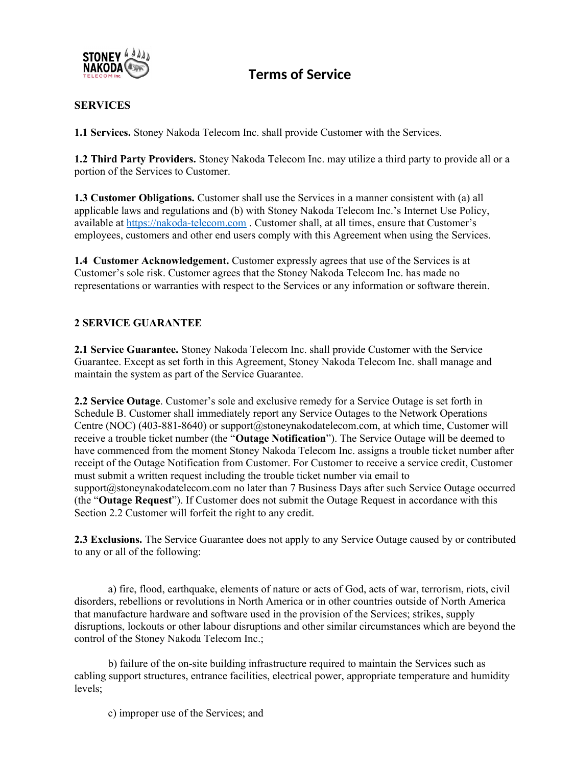

## **SERVICES**

**1.1 Services.** Stoney Nakoda Telecom Inc. shall provide Customer with the Services.

**1.2 Third Party Providers.** Stoney Nakoda Telecom Inc. may utilize a third party to provide all or a portion of the Services to Customer.

**1.3 Customer Obligations.** Customer shall use the Services in a manner consistent with (a) all applicable laws and regulations and (b) with Stoney Nakoda Telecom Inc.'s Internet Use Policy, available at [https://nakoda-telecom.com](https://nakoda-telecom.com/) . Customer shall, at all times, ensure that Customer's employees, customers and other end users comply with this Agreement when using the Services.

**1.4 Customer Acknowledgement.** Customer expressly agrees that use of the Services is at Customer's sole risk. Customer agrees that the Stoney Nakoda Telecom Inc. has made no representations or warranties with respect to the Services or any information or software therein.

## **2 SERVICE GUARANTEE**

**2.1 Service Guarantee.** Stoney Nakoda Telecom Inc. shall provide Customer with the Service Guarantee. Except as set forth in this Agreement, Stoney Nakoda Telecom Inc. shall manage and maintain the system as part of the Service Guarantee.

**2.2 Service Outage**. Customer's sole and exclusive remedy for a Service Outage is set forth in Schedule B. Customer shall immediately report any Service Outages to the Network Operations Centre (NOC) (403-881-8640) or support@stoneynakodatelecom.com, at which time, Customer will receive a trouble ticket number (the "**Outage Notification**"). The Service Outage will be deemed to have commenced from the moment Stoney Nakoda Telecom Inc. assigns a trouble ticket number after receipt of the Outage Notification from Customer. For Customer to receive a service credit, Customer must submit a written request including the trouble ticket number via email to support@stoneynakodatelecom.com no later than 7 Business Days after such Service Outage occurred (the "**Outage Request**"). If Customer does not submit the Outage Request in accordance with this Section 2.2 Customer will forfeit the right to any credit.

**2.3 Exclusions.** The Service Guarantee does not apply to any Service Outage caused by or contributed to any or all of the following:

a) fire, flood, earthquake, elements of nature or acts of God, acts of war, terrorism, riots, civil disorders, rebellions or revolutions in North America or in other countries outside of North America that manufacture hardware and software used in the provision of the Services; strikes, supply disruptions, lockouts or other labour disruptions and other similar circumstances which are beyond the control of the Stoney Nakoda Telecom Inc.;

b) failure of the on-site building infrastructure required to maintain the Services such as cabling support structures, entrance facilities, electrical power, appropriate temperature and humidity levels;

c) improper use of the Services; and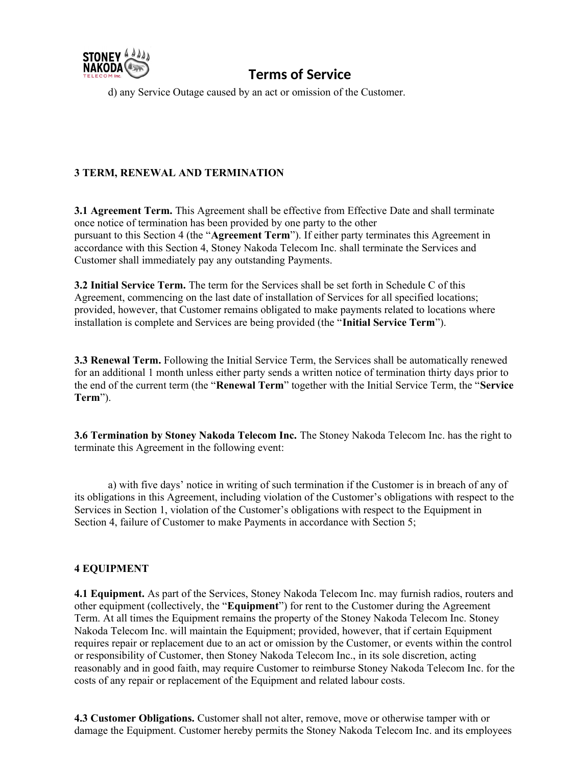

d) any Service Outage caused by an act or omission of the Customer.

## **3 TERM, RENEWAL AND TERMINATION**

**3.1 Agreement Term.** This Agreement shall be effective from Effective Date and shall terminate once notice of termination has been provided by one party to the other pursuant to this Section 4 (the "**Agreement Term**"). If either party terminates this Agreement in accordance with this Section 4, Stoney Nakoda Telecom Inc. shall terminate the Services and Customer shall immediately pay any outstanding Payments.

**3.2 Initial Service Term.** The term for the Services shall be set forth in Schedule C of this Agreement, commencing on the last date of installation of Services for all specified locations; provided, however, that Customer remains obligated to make payments related to locations where installation is complete and Services are being provided (the "**Initial Service Term**").

**3.3 Renewal Term.** Following the Initial Service Term, the Services shall be automatically renewed for an additional 1 month unless either party sends a written notice of termination thirty days prior to the end of the current term (the "**Renewal Term**" together with the Initial Service Term, the "**Service Term**").

**3.6 Termination by Stoney Nakoda Telecom Inc.** The Stoney Nakoda Telecom Inc. has the right to terminate this Agreement in the following event:

a) with five days' notice in writing of such termination if the Customer is in breach of any of its obligations in this Agreement, including violation of the Customer's obligations with respect to the Services in Section 1, violation of the Customer's obligations with respect to the Equipment in Section 4, failure of Customer to make Payments in accordance with Section 5;

### **4 EQUIPMENT**

**4.1 Equipment.** As part of the Services, Stoney Nakoda Telecom Inc. may furnish radios, routers and other equipment (collectively, the "**Equipment**") for rent to the Customer during the Agreement Term. At all times the Equipment remains the property of the Stoney Nakoda Telecom Inc. Stoney Nakoda Telecom Inc. will maintain the Equipment; provided, however, that if certain Equipment requires repair or replacement due to an act or omission by the Customer, or events within the control or responsibility of Customer, then Stoney Nakoda Telecom Inc., in its sole discretion, acting reasonably and in good faith, may require Customer to reimburse Stoney Nakoda Telecom Inc. for the costs of any repair or replacement of the Equipment and related labour costs.

**4.3 Customer Obligations.** Customer shall not alter, remove, move or otherwise tamper with or damage the Equipment. Customer hereby permits the Stoney Nakoda Telecom Inc. and its employees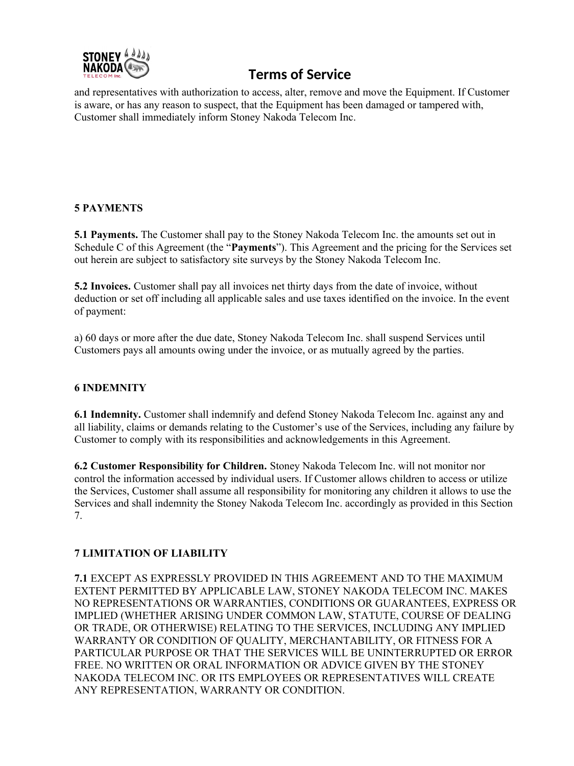

and representatives with authorization to access, alter, remove and move the Equipment. If Customer is aware, or has any reason to suspect, that the Equipment has been damaged or tampered with, Customer shall immediately inform Stoney Nakoda Telecom Inc.

## **5 PAYMENTS**

**5.1 Payments.** The Customer shall pay to the Stoney Nakoda Telecom Inc. the amounts set out in Schedule C of this Agreement (the "**Payments**"). This Agreement and the pricing for the Services set out herein are subject to satisfactory site surveys by the Stoney Nakoda Telecom Inc.

**5.2 Invoices.** Customer shall pay all invoices net thirty days from the date of invoice, without deduction or set off including all applicable sales and use taxes identified on the invoice. In the event of payment:

a) 60 days or more after the due date, Stoney Nakoda Telecom Inc. shall suspend Services until Customers pays all amounts owing under the invoice, or as mutually agreed by the parties.

## **6 INDEMNITY**

**6.1 Indemnity.** Customer shall indemnify and defend Stoney Nakoda Telecom Inc. against any and all liability, claims or demands relating to the Customer's use of the Services, including any failure by Customer to comply with its responsibilities and acknowledgements in this Agreement.

**6.2 Customer Responsibility for Children.** Stoney Nakoda Telecom Inc. will not monitor nor control the information accessed by individual users. If Customer allows children to access or utilize the Services, Customer shall assume all responsibility for monitoring any children it allows to use the Services and shall indemnity the Stoney Nakoda Telecom Inc. accordingly as provided in this Section 7.

## **7 LIMITATION OF LIABILITY**

**7.1** EXCEPT AS EXPRESSLY PROVIDED IN THIS AGREEMENT AND TO THE MAXIMUM EXTENT PERMITTED BY APPLICABLE LAW, STONEY NAKODA TELECOM INC. MAKES NO REPRESENTATIONS OR WARRANTIES, CONDITIONS OR GUARANTEES, EXPRESS OR IMPLIED (WHETHER ARISING UNDER COMMON LAW, STATUTE, COURSE OF DEALING OR TRADE, OR OTHERWISE) RELATING TO THE SERVICES, INCLUDING ANY IMPLIED WARRANTY OR CONDITION OF QUALITY, MERCHANTABILITY, OR FITNESS FOR A PARTICULAR PURPOSE OR THAT THE SERVICES WILL BE UNINTERRUPTED OR ERROR FREE. NO WRITTEN OR ORAL INFORMATION OR ADVICE GIVEN BY THE STONEY NAKODA TELECOM INC. OR ITS EMPLOYEES OR REPRESENTATIVES WILL CREATE ANY REPRESENTATION, WARRANTY OR CONDITION.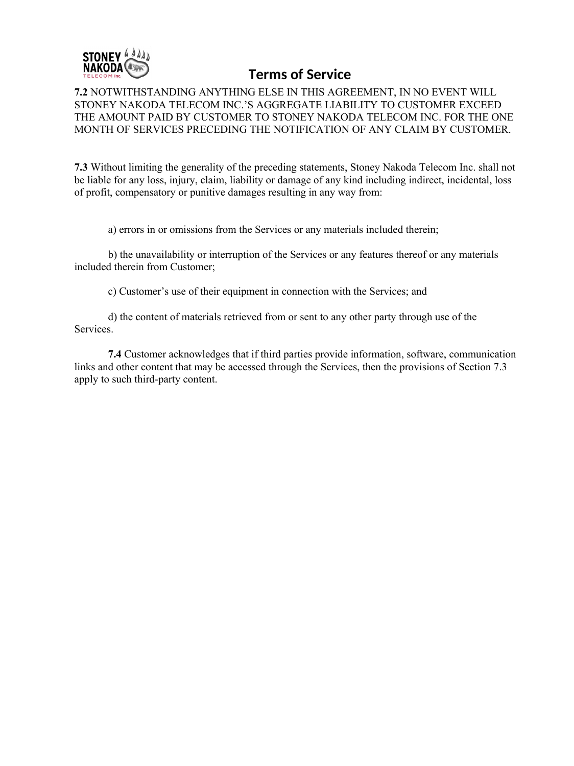

**7.2** NOTWITHSTANDING ANYTHING ELSE IN THIS AGREEMENT, IN NO EVENT WILL STONEY NAKODA TELECOM INC.'S AGGREGATE LIABILITY TO CUSTOMER EXCEED THE AMOUNT PAID BY CUSTOMER TO STONEY NAKODA TELECOM INC. FOR THE ONE MONTH OF SERVICES PRECEDING THE NOTIFICATION OF ANY CLAIM BY CUSTOMER.

**7.3** Without limiting the generality of the preceding statements, Stoney Nakoda Telecom Inc. shall not be liable for any loss, injury, claim, liability or damage of any kind including indirect, incidental, loss of profit, compensatory or punitive damages resulting in any way from:

a) errors in or omissions from the Services or any materials included therein;

b) the unavailability or interruption of the Services or any features thereof or any materials included therein from Customer;

c) Customer's use of their equipment in connection with the Services; and

d) the content of materials retrieved from or sent to any other party through use of the Services.

**7.4** Customer acknowledges that if third parties provide information, software, communication links and other content that may be accessed through the Services, then the provisions of Section 7.3 apply to such third-party content.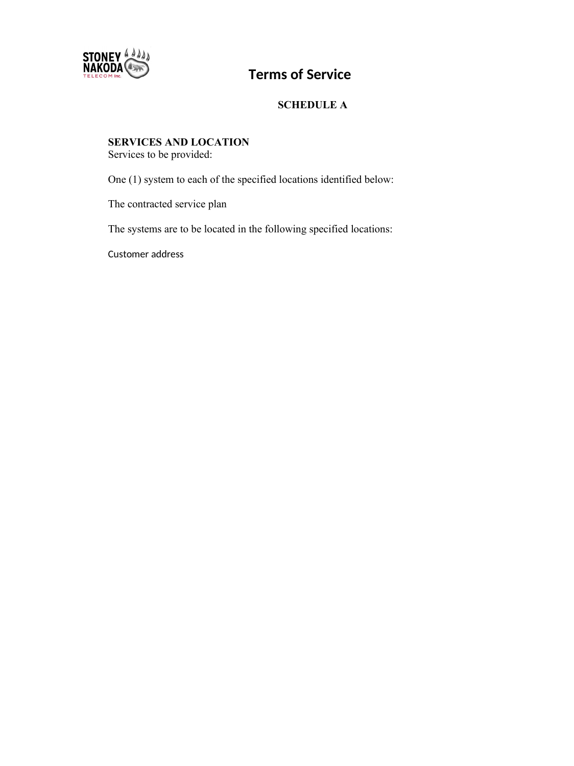

# **SCHEDULE A**

# **SERVICES AND LOCATION**

Services to be provided:

One (1) system to each of the specified locations identified below:

The contracted service plan

The systems are to be located in the following specified locations:

Customer address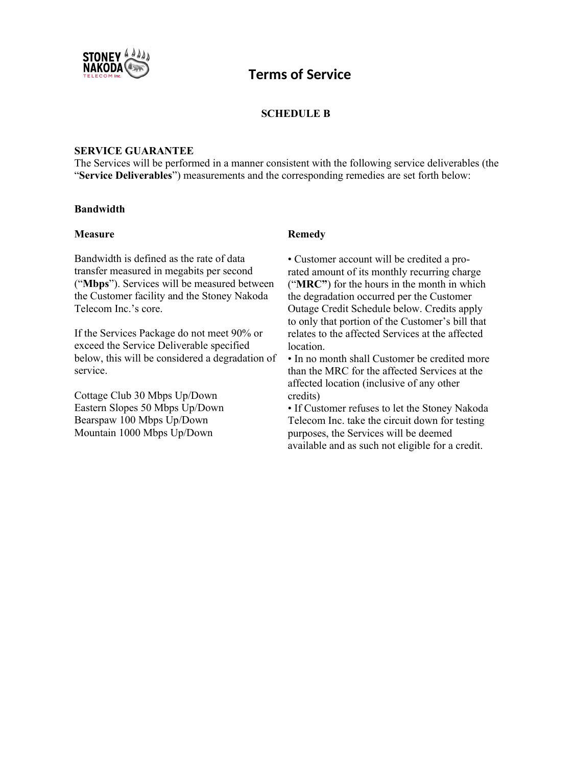

## **SCHEDULE B**

#### **SERVICE GUARANTEE**

The Services will be performed in a manner consistent with the following service deliverables (the "**Service Deliverables**") measurements and the corresponding remedies are set forth below:

#### **Bandwidth**

#### **Measure Remedy**

Bandwidth is defined as the rate of data transfer measured in megabits per second ("**Mbps**"). Services will be measured between the Customer facility and the Stoney Nakoda Telecom Inc.'s core.

If the Services Package do not meet 90% or exceed the Service Deliverable specified below, this will be considered a degradation of service.

Cottage Club 30 Mbps Up/Down Eastern Slopes 50 Mbps Up/Down Bearspaw 100 Mbps Up/Down Mountain 1000 Mbps Up/Down

• Customer account will be credited a prorated amount of its monthly recurring charge ("**MRC"**) for the hours in the month in which the degradation occurred per the Customer Outage Credit Schedule below. Credits apply to only that portion of the Customer's bill that relates to the affected Services at the affected **location** 

• In no month shall Customer be credited more than the MRC for the affected Services at the affected location (inclusive of any other credits)

• If Customer refuses to let the Stoney Nakoda Telecom Inc. take the circuit down for testing purposes, the Services will be deemed available and as such not eligible for a credit.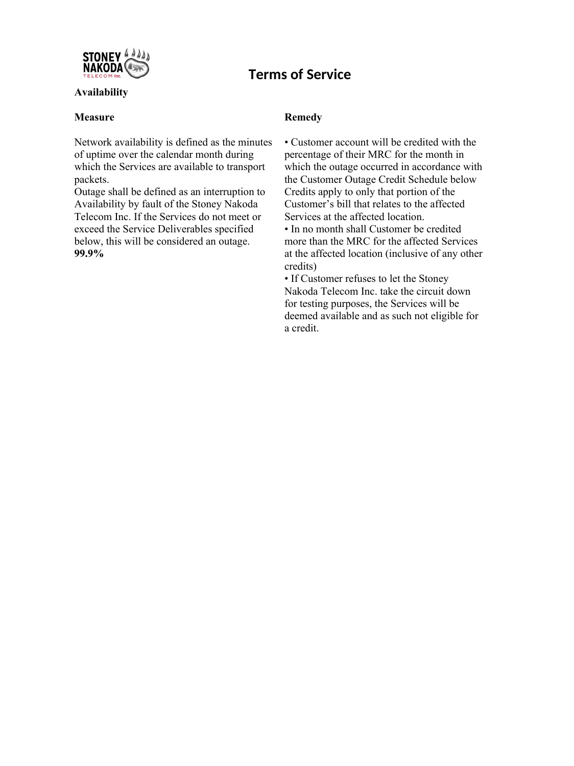

### **Availability**

#### **Measure Remedy**

Network availability is defined as the minutes of uptime over the calendar month during which the Services are available to transport packets.

Outage shall be defined as an interruption to Availability by fault of the Stoney Nakoda Telecom Inc. If the Services do not meet or exceed the Service Deliverables specified below, this will be considered an outage. **99.9%** 

• Customer account will be credited with the percentage of their MRC for the month in which the outage occurred in accordance with the Customer Outage Credit Schedule below Credits apply to only that portion of the Customer's bill that relates to the affected Services at the affected location.

• In no month shall Customer be credited more than the MRC for the affected Services at the affected location (inclusive of any other credits)

• If Customer refuses to let the Stoney Nakoda Telecom Inc. take the circuit down for testing purposes, the Services will be deemed available and as such not eligible for a credit.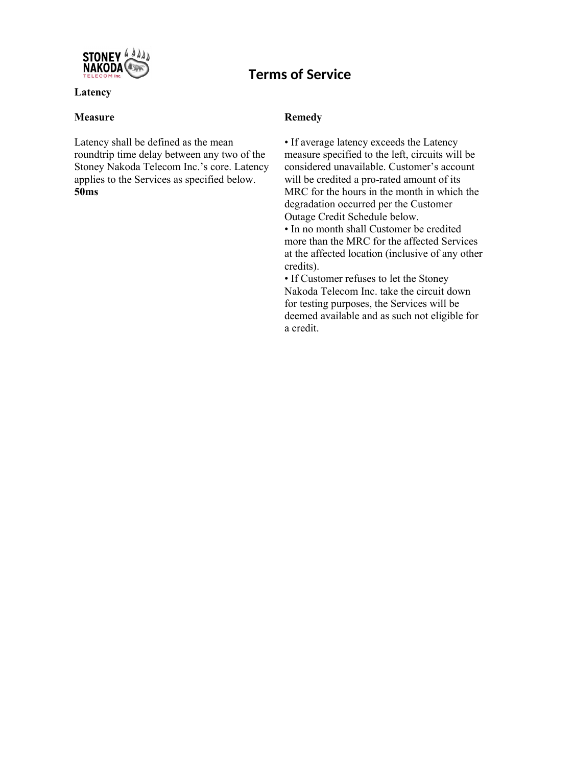

## **Latency**

## **Measure Remedy**

Latency shall be defined as the mean roundtrip time delay between any two of the Stoney Nakoda Telecom Inc.'s core. Latency applies to the Services as specified below. **50ms** 

• If average latency exceeds the Latency measure specified to the left, circuits will be considered unavailable. Customer's account will be credited a pro-rated amount of its MRC for the hours in the month in which the degradation occurred per the Customer Outage Credit Schedule below.

• In no month shall Customer be credited more than the MRC for the affected Services at the affected location (inclusive of any other credits).

• If Customer refuses to let the Stoney Nakoda Telecom Inc. take the circuit down for testing purposes, the Services will be deemed available and as such not eligible for a credit.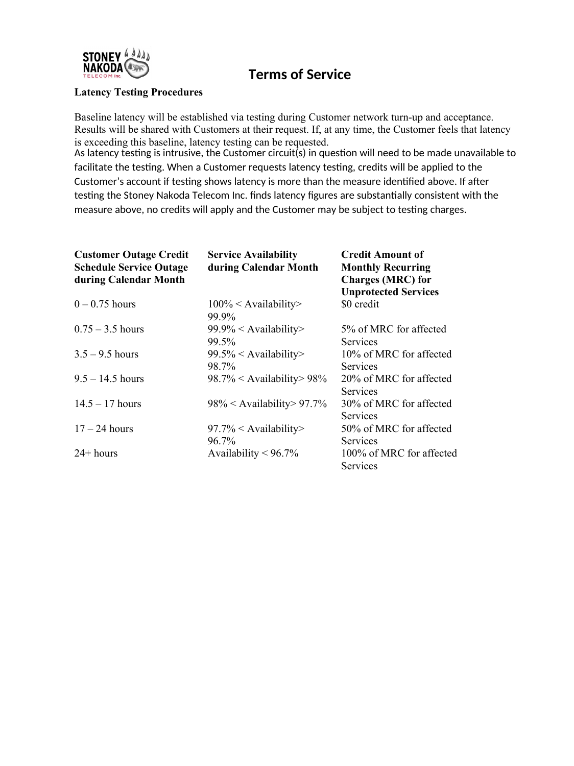

### **Latency Testing Procedures**

Baseline latency will be established via testing during Customer network turn-up and acceptance. Results will be shared with Customers at their request. If, at any time, the Customer feels that latency is exceeding this baseline, latency testing can be requested.

As latency testing is intrusive, the Customer circuit(s) in question will need to be made unavailable to facilitate the testing. When a Customer requests latency testing, credits will be applied to the Customer's account if testing shows latency is more than the measure identified above. If after testing the Stoney Nakoda Telecom Inc. finds latency figures are substantially consistent with the measure above, no credits will apply and the Customer may be subject to testing charges.

| <b>Customer Outage Credit</b><br><b>Schedule Service Outage</b><br>during Calendar Month | <b>Service Availability</b><br>during Calendar Month | <b>Credit Amount of</b><br><b>Monthly Recurring</b><br><b>Charges (MRC)</b> for<br><b>Unprotected Services</b> |
|------------------------------------------------------------------------------------------|------------------------------------------------------|----------------------------------------------------------------------------------------------------------------|
| $0 - 0.75$ hours                                                                         | $100\% <$ Availability><br>99.9%                     | \$0 credit                                                                                                     |
| $0.75 - 3.5$ hours                                                                       | $99.9\% <$ Availability><br>99.5%                    | 5% of MRC for affected<br><b>Services</b>                                                                      |
| $3.5 - 9.5$ hours                                                                        | $99.5\% <$ Availability><br>98.7%                    | 10% of MRC for affected<br><b>Services</b>                                                                     |
| $9.5 - 14.5$ hours                                                                       | $98.7\% <$ Availability > 98%                        | 20% of MRC for affected<br><b>Services</b>                                                                     |
| $14.5 - 17$ hours                                                                        | $98\% <$ Availability > 97.7%                        | 30% of MRC for affected<br><b>Services</b>                                                                     |
| $17 - 24$ hours                                                                          | $97.7\% <$ Availability><br>96.7%                    | 50% of MRC for affected<br>Services                                                                            |
| $24 + hours$                                                                             | Availability $< 96.7\%$                              | 100% of MRC for affected<br>Services                                                                           |